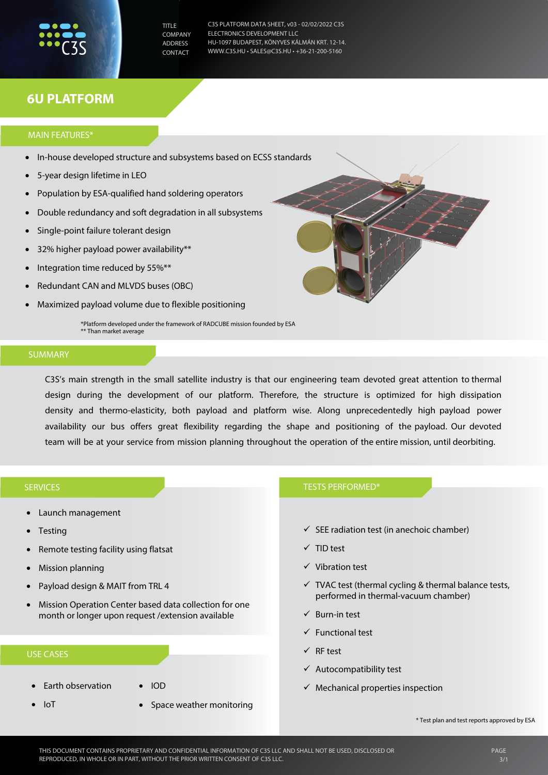TITLE **COMPANY** ADDRESS CONTACT

C3S PLATFORM DATA SHEET, v03 - 02/02/2022 C3S ELECTRONICS DEVELOPMENT LLC HU-1097 BUDAPEST, KÖNYVES KÁLMÁN KRT. 12-14. WWW.C3S.HU • SALES@C3S.HU • +36-21-200-5160

# **6U PLATFORM**

### MAIN FEATURES\*

- In-house developed structure and subsystems based on ECSS standards
- 5-year design lifetime in LEO
- Population by ESA-qualified hand soldering operators
- Double redundancy and soft degradation in all subsystems
- Single-point failure tolerant design
- 32% higher payload power availability\*\*
- Integration time reduced by 55%\*\*
- Redundant CAN and MLVDS buses (OBC)
- Maximized payload volume due to flexible positioning

\*Platform developed under the framework of RADCUBE mission founded by ESA Than market average

# **SUMMARY**

C3S's main strength in the small satellite industry is that our engineering team devoted great attention to thermal design during the development of our platform. Therefore, the structure is optimized for high dissipation density and thermo-elasticity, both payload and platform wise. Along unprecedentedly high payload power availability our bus offers great flexibility regarding the shape and positioning of the payload. Our devoted team will be at your service from mission planning throughout the operation of the entire mission, until deorbiting.

#### **SERVICES**

- Launch management
- **Testing**
- Remote testing facility using flatsat
- Mission planning
- Payload design & MAIT from TRL 4
- Mission Operation Center based data collection for one month or longer upon request /extension available

### USE CASES

- Earth observation
- IoT
- IOD
- Space weather monitoring

# TESTS PERFORMED\*

- $\checkmark$  SEE radiation test (in anechoic chamber)
- $\checkmark$  TID test
- $\checkmark$  Vibration test
- $\checkmark$  TVAC test (thermal cycling & thermal balance tests, performed in thermal-vacuum chamber)
- $\checkmark$  Burn-in test
- Functional test
- $\checkmark$  RF test
- $\checkmark$  Autocompatibility test
- $\checkmark$  Mechanical properties inspection

\* Test plan and test reports approved by ESA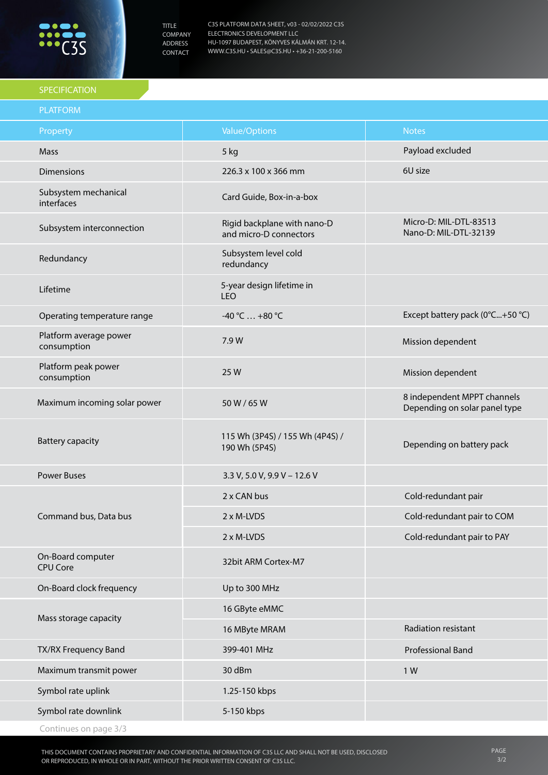

TITLE COMPANY ADDRESS CONTACT

C3S PLATFORM DATA SHEET, v03 - 02/02/2022 C3S ELECTRONICS DEVELOPMENT LLC HU-1097 BUDAPEST, KÖNYVES KÁLMÁN KRT. 12-14. WWW.C3S.HU • SALES@C3S.HU • +36-21-200-5160

# SPECIFICATION

| <b>PLATFORM</b>                       |                                                       |                                                              |
|---------------------------------------|-------------------------------------------------------|--------------------------------------------------------------|
| Property                              | <b>Value/Options</b>                                  | <b>Notes</b>                                                 |
| Mass                                  | 5 kg                                                  | Payload excluded                                             |
| <b>Dimensions</b>                     | 226.3 x 100 x 366 mm                                  | 6U size                                                      |
| Subsystem mechanical<br>interfaces    | Card Guide, Box-in-a-box                              |                                                              |
| Subsystem interconnection             | Rigid backplane with nano-D<br>and micro-D connectors | Micro-D: MIL-DTL-83513<br>Nano-D: MIL-DTL-32139              |
| Redundancy                            | Subsystem level cold<br>redundancy                    |                                                              |
| Lifetime                              | 5-year design lifetime in<br>LEO                      |                                                              |
| Operating temperature range           | $-40 °C  +80 °C$                                      | Except battery pack (0°C+50 °C)                              |
| Platform average power<br>consumption | 7.9 W                                                 | Mission dependent                                            |
| Platform peak power<br>consumption    | 25 W                                                  | Mission dependent                                            |
| Maximum incoming solar power          | 50 W / 65 W                                           | 8 independent MPPT channels<br>Depending on solar panel type |
| <b>Battery capacity</b>               | 115 Wh (3P4S) / 155 Wh (4P4S) /<br>190 Wh (5P4S)      | Depending on battery pack                                    |
| <b>Power Buses</b>                    | 3.3 V, 5.0 V, 9.9 V - 12.6 V                          |                                                              |
| Command bus, Data bus                 | 2 x CAN bus                                           | Cold-redundant pair                                          |
|                                       | 2 x M-LVDS                                            | Cold-redundant pair to COM                                   |
|                                       | 2 x M-LVDS                                            | Cold-redundant pair to PAY                                   |
| On-Board computer<br><b>CPU Core</b>  | 32bit ARM Cortex-M7                                   |                                                              |
| On-Board clock frequency              | Up to 300 MHz                                         |                                                              |
| Mass storage capacity                 | 16 GByte eMMC                                         |                                                              |
|                                       | 16 MByte MRAM                                         | Radiation resistant                                          |
| TX/RX Frequency Band                  | 399-401 MHz                                           | <b>Professional Band</b>                                     |
| Maximum transmit power                | 30 dBm                                                | 1W                                                           |
| Symbol rate uplink                    | 1.25-150 kbps                                         |                                                              |
| Symbol rate downlink                  | 5-150 kbps                                            |                                                              |
| Continues on page 3/3                 |                                                       |                                                              |

THIS DOCUMENT CONTAINS PROPRIETARY AND CONFIDENTIAL INFORMATION OF C3S LLC AND SHALL NOT BE USED, DISCLOSED OR REPRODUCED, IN WHOLE OR IN PART, WITHOUT THE PRIOR WRITTEN CONSENT OF C3S LLC.